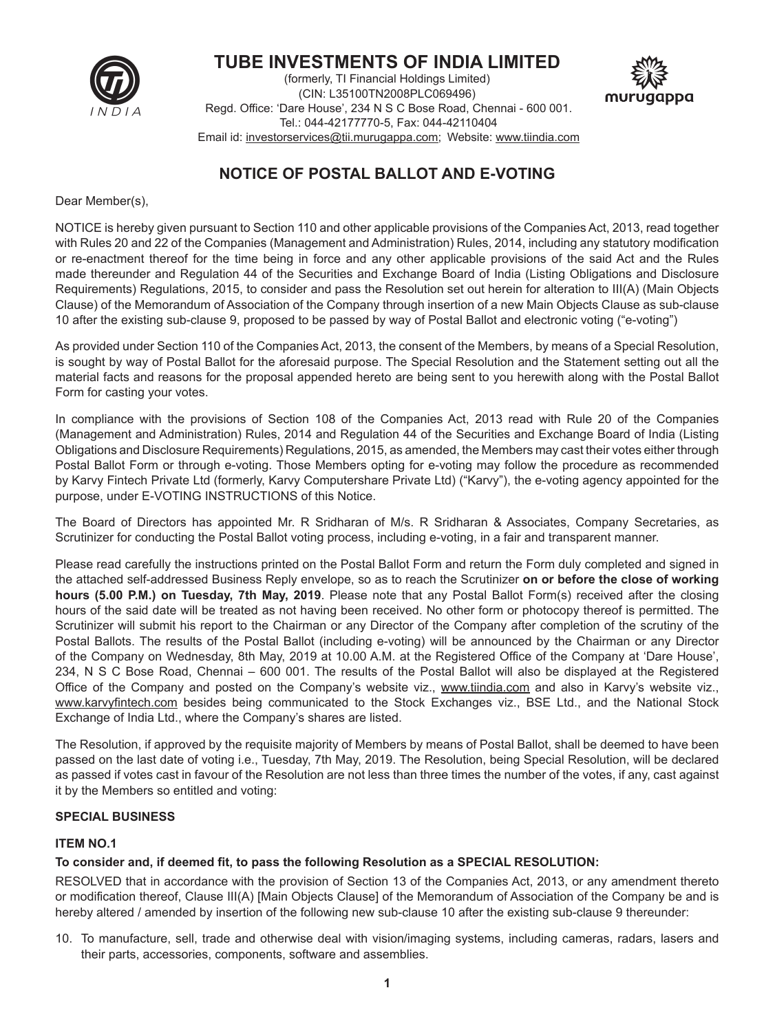

# **TUBE INVESTMENTS OF INDIA LIMITED**

(formerly, TI Financial Holdings Limited) (CIN: L35100TN2008PLC069496) Regd. Office: 'Dare House', 234 N S C Bose Road, Chennai - 600 001. Tel.: 044-42177770-5, Fax: 044-42110404 Email id: investorservices@tii.murugappa.com; Website: www.tiindia.com



# **NOTICE OF POSTAL BALLOT AND E-VOTING**

Dear Member(s),

NOTICE is hereby given pursuant to Section 110 and other applicable provisions of the Companies Act, 2013, read together with Rules 20 and 22 of the Companies (Management and Administration) Rules, 2014, including any statutory modification or re-enactment thereof for the time being in force and any other applicable provisions of the said Act and the Rules made thereunder and Regulation 44 of the Securities and Exchange Board of India (Listing Obligations and Disclosure Requirements) Regulations, 2015, to consider and pass the Resolution set out herein for alteration to III(A) (Main Objects Clause) of the Memorandum of Association of the Company through insertion of a new Main Objects Clause as sub-clause 10 after the existing sub-clause 9, proposed to be passed by way of Postal Ballot and electronic voting ("e-voting")

As provided under Section 110 of the Companies Act, 2013, the consent of the Members, by means of a Special Resolution, is sought by way of Postal Ballot for the aforesaid purpose. The Special Resolution and the Statement setting out all the material facts and reasons for the proposal appended hereto are being sent to you herewith along with the Postal Ballot Form for casting your votes.

In compliance with the provisions of Section 108 of the Companies Act, 2013 read with Rule 20 of the Companies (Management and Administration) Rules, 2014 and Regulation 44 of the Securities and Exchange Board of India (Listing Obligations and Disclosure Requirements) Regulations, 2015, as amended, the Members may cast their votes either through Postal Ballot Form or through e-voting. Those Members opting for e-voting may follow the procedure as recommended by Karvy Fintech Private Ltd (formerly, Karvy Computershare Private Ltd) ("Karvy"), the e-voting agency appointed for the purpose, under E-VOTING INSTRUCTIONS of this Notice.

The Board of Directors has appointed Mr. R Sridharan of M/s. R Sridharan & Associates, Company Secretaries, as Scrutinizer for conducting the Postal Ballot voting process, including e-voting, in a fair and transparent manner.

Please read carefully the instructions printed on the Postal Ballot Form and return the Form duly completed and signed in the attached self-addressed Business Reply envelope, so as to reach the Scrutinizer **on or before the close of working hours (5.00 P.M.) on Tuesday, 7th May, 2019**. Please note that any Postal Ballot Form(s) received after the closing hours of the said date will be treated as not having been received. No other form or photocopy thereof is permitted. The Scrutinizer will submit his report to the Chairman or any Director of the Company after completion of the scrutiny of the Postal Ballots. The results of the Postal Ballot (including e-voting) will be announced by the Chairman or any Director of the Company on Wednesday, 8th May, 2019 at 10.00 A.M. at the Registered Office of the Company at 'Dare House', 234, N S C Bose Road, Chennai – 600 001. The results of the Postal Ballot will also be displayed at the Registered Office of the Company and posted on the Company's website viz., www.tiindia.com and also in Karvy's website viz., www.karvyfintech.com besides being communicated to the Stock Exchanges viz., BSE Ltd., and the National Stock Exchange of India Ltd., where the Company's shares are listed.

The Resolution, if approved by the requisite majority of Members by means of Postal Ballot, shall be deemed to have been passed on the last date of voting i.e., Tuesday, 7th May, 2019. The Resolution, being Special Resolution, will be declared as passed if votes cast in favour of the Resolution are not less than three times the number of the votes, if any, cast against it by the Members so entitled and voting:

#### **SPECIAL BUSINESS**

#### **ITEM NO.1**

## **To consider and, if deemed fit, to pass the following Resolution as a SPECIAL RESOLUTION:**

RESOLVED that in accordance with the provision of Section 13 of the Companies Act, 2013, or any amendment thereto or modification thereof, Clause III(A) [Main Objects Clause] of the Memorandum of Association of the Company be and is hereby altered / amended by insertion of the following new sub-clause 10 after the existing sub-clause 9 thereunder:

10. To manufacture, sell, trade and otherwise deal with vision/imaging systems, including cameras, radars, lasers and their parts, accessories, components, software and assemblies.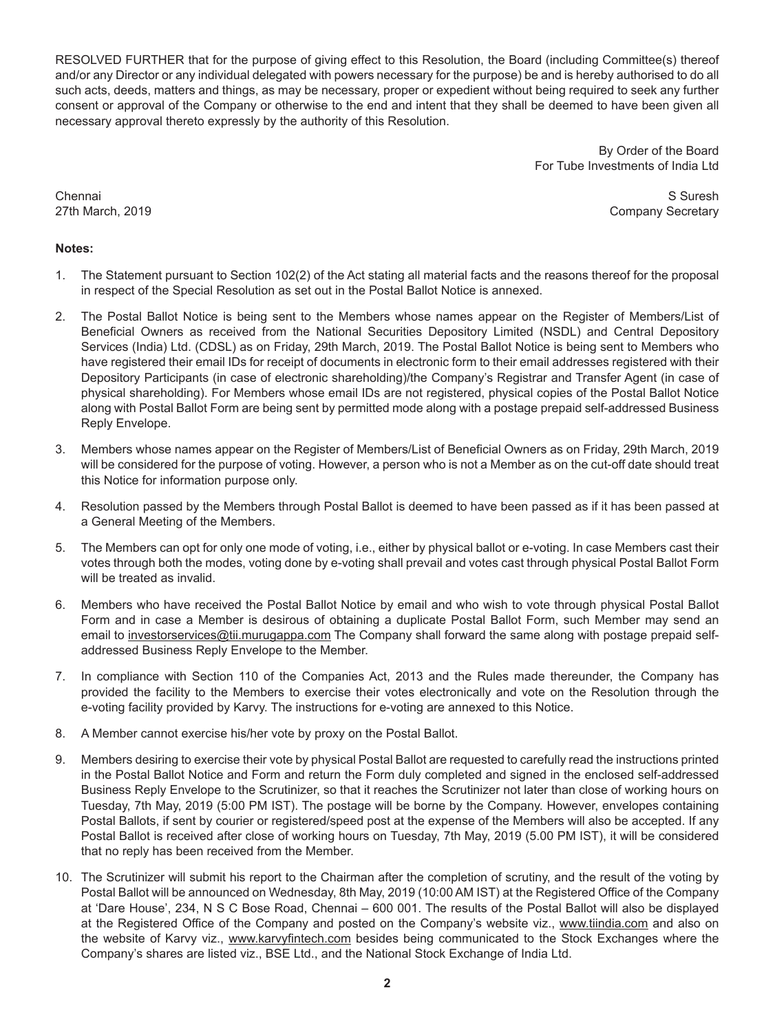RESOLVED FURTHER that for the purpose of giving effect to this Resolution, the Board (including Committee(s) thereof and/or any Director or any individual delegated with powers necessary for the purpose) be and is hereby authorised to do all such acts, deeds, matters and things, as may be necessary, proper or expedient without being required to seek any further consent or approval of the Company or otherwise to the end and intent that they shall be deemed to have been given all necessary approval thereto expressly by the authority of this Resolution.

> By Order of the Board For Tube Investments of India Ltd

Chennai S Suresh 27th March, 2019 **Company Secretary** 27th March, 2019

#### **Notes:**

- 1. The Statement pursuant to Section 102(2) of the Act stating all material facts and the reasons thereof for the proposal in respect of the Special Resolution as set out in the Postal Ballot Notice is annexed.
- 2. The Postal Ballot Notice is being sent to the Members whose names appear on the Register of Members/List of Beneficial Owners as received from the National Securities Depository Limited (NSDL) and Central Depository Services (India) Ltd. (CDSL) as on Friday, 29th March, 2019. The Postal Ballot Notice is being sent to Members who have registered their email IDs for receipt of documents in electronic form to their email addresses registered with their Depository Participants (in case of electronic shareholding)/the Company's Registrar and Transfer Agent (in case of physical shareholding). For Members whose email IDs are not registered, physical copies of the Postal Ballot Notice along with Postal Ballot Form are being sent by permitted mode along with a postage prepaid self-addressed Business Reply Envelope.
- 3. Members whose names appear on the Register of Members/List of Beneficial Owners as on Friday, 29th March, 2019 will be considered for the purpose of voting. However, a person who is not a Member as on the cut-off date should treat this Notice for information purpose only.
- 4. Resolution passed by the Members through Postal Ballot is deemed to have been passed as if it has been passed at a General Meeting of the Members.
- 5. The Members can opt for only one mode of voting, i.e., either by physical ballot or e-voting. In case Members cast their votes through both the modes, voting done by e-voting shall prevail and votes cast through physical Postal Ballot Form will be treated as invalid.
- 6. Members who have received the Postal Ballot Notice by email and who wish to vote through physical Postal Ballot Form and in case a Member is desirous of obtaining a duplicate Postal Ballot Form, such Member may send an email to investorservices@tii.murugappa.com The Company shall forward the same along with postage prepaid selfaddressed Business Reply Envelope to the Member.
- 7. In compliance with Section 110 of the Companies Act, 2013 and the Rules made thereunder, the Company has provided the facility to the Members to exercise their votes electronically and vote on the Resolution through the e-voting facility provided by Karvy. The instructions for e-voting are annexed to this Notice.
- 8. A Member cannot exercise his/her vote by proxy on the Postal Ballot.
- 9. Members desiring to exercise their vote by physical Postal Ballot are requested to carefully read the instructions printed in the Postal Ballot Notice and Form and return the Form duly completed and signed in the enclosed self-addressed Business Reply Envelope to the Scrutinizer, so that it reaches the Scrutinizer not later than close of working hours on Tuesday, 7th May, 2019 (5:00 PM IST). The postage will be borne by the Company. However, envelopes containing Postal Ballots, if sent by courier or registered/speed post at the expense of the Members will also be accepted. If any Postal Ballot is received after close of working hours on Tuesday, 7th May, 2019 (5.00 PM IST), it will be considered that no reply has been received from the Member.
- 10. The Scrutinizer will submit his report to the Chairman after the completion of scrutiny, and the result of the voting by Postal Ballot will be announced on Wednesday, 8th May, 2019 (10:00 AM IST) at the Registered Office of the Company at 'Dare House', 234, N S C Bose Road, Chennai – 600 001. The results of the Postal Ballot will also be displayed at the Registered Office of the Company and posted on the Company's website viz., www.tiindia.com and also on the website of Karvy viz., www.karvyfintech.com besides being communicated to the Stock Exchanges where the Company's shares are listed viz., BSE Ltd., and the National Stock Exchange of India Ltd.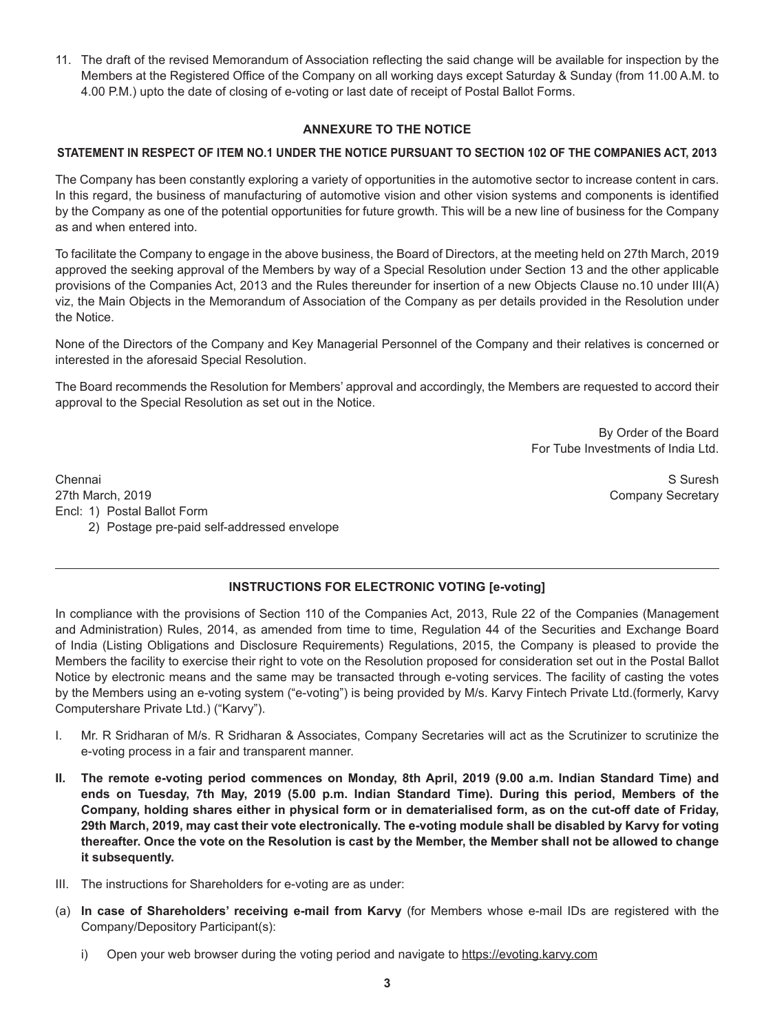11. The draft of the revised Memorandum of Association reflecting the said change will be available for inspection by the Members at the Registered Office of the Company on all working days except Saturday & Sunday (from 11.00 A.M. to 4.00 P.M.) upto the date of closing of e-voting or last date of receipt of Postal Ballot Forms.

#### **ANNEXURE TO THE NOTICE**

#### **STATEMENT IN RESPECT OF ITEM NO.1 UNDER THE NOTICE PURSUANT TO SECTION 102 OF THE COMPANIES ACT, 2013**

The Company has been constantly exploring a variety of opportunities in the automotive sector to increase content in cars. In this regard, the business of manufacturing of automotive vision and other vision systems and components is identified by the Company as one of the potential opportunities for future growth. This will be a new line of business for the Company as and when entered into.

To facilitate the Company to engage in the above business, the Board of Directors, at the meeting held on 27th March, 2019 approved the seeking approval of the Members by way of a Special Resolution under Section 13 and the other applicable provisions of the Companies Act, 2013 and the Rules thereunder for insertion of a new Objects Clause no.10 under III(A) viz, the Main Objects in the Memorandum of Association of the Company as per details provided in the Resolution under the Notice.

None of the Directors of the Company and Key Managerial Personnel of the Company and their relatives is concerned or interested in the aforesaid Special Resolution.

The Board recommends the Resolution for Members' approval and accordingly, the Members are requested to accord their approval to the Special Resolution as set out in the Notice.

> By Order of the Board For Tube Investments of India Ltd.

Chennai S Suresh 27th March, 2019 **Company Secretary** Encl: 1) Postal Ballot Form 2) Postage pre-paid self-addressed envelope

## **INSTRUCTIONS FOR ELECTRONIC VOTING [e-voting]**

In compliance with the provisions of Section 110 of the Companies Act, 2013, Rule 22 of the Companies (Management and Administration) Rules, 2014, as amended from time to time, Regulation 44 of the Securities and Exchange Board of India (Listing Obligations and Disclosure Requirements) Regulations, 2015, the Company is pleased to provide the Members the facility to exercise their right to vote on the Resolution proposed for consideration set out in the Postal Ballot Notice by electronic means and the same may be transacted through e-voting services. The facility of casting the votes by the Members using an e-voting system ("e-voting") is being provided by M/s. Karvy Fintech Private Ltd.(formerly, Karvy Computershare Private Ltd.) ("Karvy").

- I. Mr. R Sridharan of M/s. R Sridharan & Associates, Company Secretaries will act as the Scrutinizer to scrutinize the e-voting process in a fair and transparent manner.
- **II. The remote e-voting period commences on Monday, 8th April, 2019 (9.00 a.m. Indian Standard Time) and ends on Tuesday, 7th May, 2019 (5.00 p.m. Indian Standard Time). During this period, Members of the Company, holding shares either in physical form or in dematerialised form, as on the cut-off date of Friday, 29th March, 2019, may cast their vote electronically. The e-voting module shall be disabled by Karvy for voting thereafter. Once the vote on the Resolution is cast by the Member, the Member shall not be allowed to change it subsequently.**
- III. The instructions for Shareholders for e-voting are as under:
- (a) **In case of Shareholders' receiving e-mail from Karvy** (for Members whose e-mail IDs are registered with the Company/Depository Participant(s):
	- i) Open your web browser during the voting period and navigate to https://evoting.karvy.com